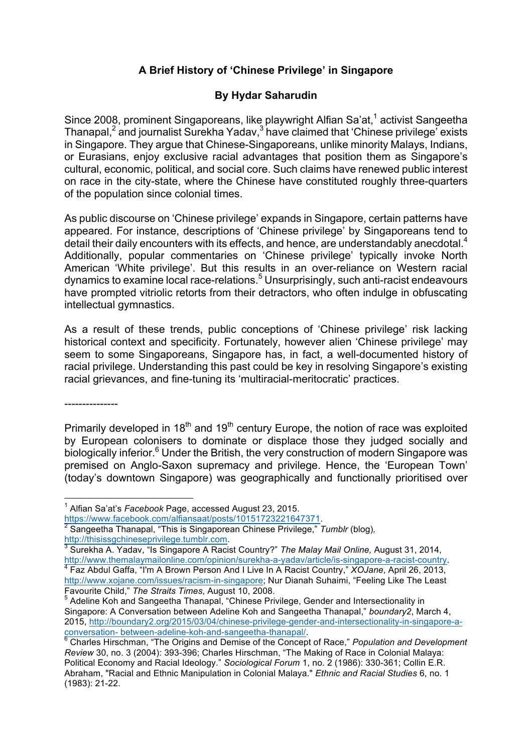## **A Brief History of 'Chinese Privilege' in Singapore**

## **By Hydar Saharudin**

Since 2008, prominent Singaporeans, like playwright Alfian Sa'at,<sup>1</sup> activist Sangeetha Thanapal, $^2$  and journalist Surekha Yadav, $^3$  have claimed that 'Chinese privilege' exists in Singapore. They argue that Chinese-Singaporeans, unlike minority Malays, Indians, or Eurasians, enjoy exclusive racial advantages that position them as Singapore's cultural, economic, political, and social core. Such claims have renewed public interest on race in the city-state, where the Chinese have constituted roughly three-quarters of the population since colonial times.

As public discourse on 'Chinese privilege' expands in Singapore, certain patterns have appeared. For instance, descriptions of 'Chinese privilege' by Singaporeans tend to detail their daily encounters with its effects, and hence, are understandably anecdotal. $4$ Additionally, popular commentaries on 'Chinese privilege' typically invoke North American 'White privilege'. But this results in an over-reliance on Western racial dynamics to examine local race-relations.<sup>5</sup> Unsurprisingly, such anti-racist endeavours have prompted vitriolic retorts from their detractors, who often indulge in obfuscating intellectual gymnastics.

As a result of these trends, public conceptions of 'Chinese privilege' risk lacking historical context and specificity. Fortunately, however alien 'Chinese privilege' may seem to some Singaporeans, Singapore has, in fact, a well-documented history of racial privilege. Understanding this past could be key in resolving Singapore's existing racial grievances, and fine-tuning its 'multiracial-meritocratic' practices.

---------------

Primarily developed in 18<sup>th</sup> and 19<sup>th</sup> century Europe, the notion of race was exploited by European colonisers to dominate or displace those they judged socially and biologically inferior.<sup>6</sup> Under the British, the very construction of modern Singapore was premised on Anglo-Saxon supremacy and privilege. Hence, the 'European Town' (today's downtown Singapore) was geographically and functionally prioritised over

 <sup>1</sup> Alfian Sa'at's *Facebook* Page, accessed August 23, 2015.

https://www.facebook.com/alfiansaat/posts/10151723221647371. <sup>2</sup> Sangeetha Thanapal, "This is Singaporean Chinese Privilege," *Tumblr* (blog)*,*

http://thisissgchineseprivilege.tumblr.com.<br><sup>3</sup> Surekha A. Yadav, "Is Singapore A Racist Country?" *The Malay Mail Online,* August 31, 2014, http://www.themalaymailonline.com/opinion/surekha-a-yadav/article/is-singapore-a-racist-country. <sup>4</sup> Faz Abdul Gaffa, "I'm A Brown Person And I Live In A Racist Country," *XOJane*, April 26, 2013,

http://www.xojane.com/issues/racism-in-singapore; Nur Dianah Suhaimi, "Feeling Like The Least<br>Favourite Child," The Straits Times, August 10, 2008.

Adeline Koh and Sangeetha Thanapal, "Chinese Privilege, Gender and Intersectionality in Singapore: A Conversation between Adeline Koh and Sangeetha Thanapal," *boundary2*, March 4, 2015, http://boundary2.org/2015/03/04/chinese-privilege-gender-and-intersectionality-in-singapore-a-<br>conversation- between-adeline-koh-and-sangeetha-thanapal/

<sup>&</sup>lt;sup>6</sup> Charles Hirschman, "The Origins and Demise of the Concept of Race," *Population and Development Review* 30, no. 3 (2004): 393-396; Charles Hirschman, "The Making of Race in Colonial Malaya: Political Economy and Racial Ideology." *Sociological Forum* 1, no. 2 (1986): 330-361; Collin E.R. Abraham, "Racial and Ethnic Manipulation in Colonial Malaya." *Ethnic and Racial Studies* 6, no. 1 (1983): 21-22.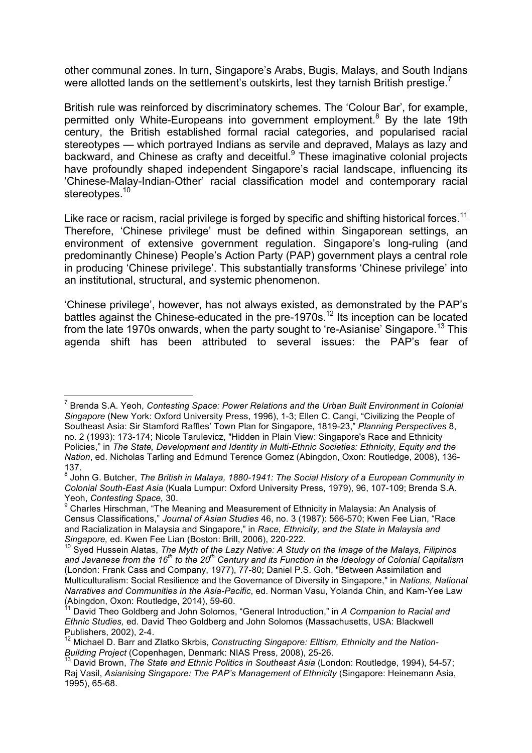other communal zones. In turn, Singapore's Arabs, Bugis, Malays, and South Indians were allotted lands on the settlement's outskirts, lest they tarnish British prestige.<sup>7</sup>

British rule was reinforced by discriminatory schemes. The 'Colour Bar', for example, permitted only White-Europeans into government employment.<sup>8</sup> By the late 19th century, the British established formal racial categories, and popularised racial stereotypes — which portrayed Indians as servile and depraved, Malays as lazy and backward, and Chinese as crafty and deceitful.<sup>9</sup> These imaginative colonial projects have profoundly shaped independent Singapore's racial landscape, influencing its 'Chinese-Malay-Indian-Other' racial classification model and contemporary racial stereotypes.<sup>10</sup>

Like race or racism, racial privilege is forged by specific and shifting historical forces. $^{\rm 11}$ Therefore, 'Chinese privilege' must be defined within Singaporean settings, an environment of extensive government regulation. Singapore's long-ruling (and predominantly Chinese) People's Action Party (PAP) government plays a central role in producing 'Chinese privilege'. This substantially transforms 'Chinese privilege' into an institutional, structural, and systemic phenomenon.

'Chinese privilege', however, has not always existed, as demonstrated by the PAP's battles against the Chinese-educated in the pre-1970s.<sup>12</sup> Its inception can be located from the late 1970s onwards, when the party sought to 're-Asianise' Singapore.<sup>13</sup> This agenda shift has been attributed to several issues: the PAP's fear of

 <sup>7</sup> Brenda S.A. Yeoh, *Contesting Space: Power Relations and the Urban Built Environment in Colonial Singapore* (New York: Oxford University Press, 1996), 1-3; Ellen C. Cangi, "Civilizing the People of Southeast Asia: Sir Stamford Raffles' Town Plan for Singapore, 1819-23," *Planning Perspectives* 8, no. 2 (1993): 173-174; Nicole Tarulevicz, "Hidden in Plain View: Singapore's Race and Ethnicity Policies," in *The State, Development and Identity in Multi-Ethnic Societies: Ethnicity, Equity and the Nation*, ed. Nicholas Tarling and Edmund Terence Gomez (Abingdon, Oxon: Routledge, 2008), 136-  $137.8$ 

<sup>8</sup> John G. Butcher, *The British in Malaya, 1880-1941: The Social History of a European Community in Colonial South-East Asia* (Kuala Lumpur: Oxford University Press, 1979), 96, 107-109; Brenda S.A. Yeoh, *Contesting Space,* 30.

<sup>9</sup> Charles Hirschman, "The Meaning and Measurement of Ethnicity in Malaysia: An Analysis of Census Classifications," *Journal of Asian Studies* 46, no. 3 (1987): 566-570; Kwen Fee Lian, "Race and Racialization in Malaysia and Singapore," in *Race, Ethnicity, and the State in Malaysia and Singapore,* ed. Kwen Fee Lian (Boston: Brill, 2006), 220-222.

<sup>10</sup> Syed Hussein Alatas, *The Myth of the Lazy Native: A Study on the Image of the Malays, Filipinos and Javanese from the 16th to the 20th Century and its Function in the Ideology of Colonial Capitalism* (London: Frank Cass and Company, 1977), 77-80; Daniel P.S. Goh, "Between Assimilation and Multiculturalism: Social Resilience and the Governance of Diversity in Singapore," in *Nations, National Narratives and Communities in the Asia-Pacific*, ed. Norman Vasu, Yolanda Chin, and Kam-Yee Law (Abingdon, Oxon: Routledge, 2014), 59-60.

<sup>11</sup> David Theo Goldberg and John Solomos, "General Introduction," in *A Companion to Racial and Ethnic Studies,* ed. David Theo Goldberg and John Solomos (Massachusetts, USA: Blackwell Publishers, 2002), 2-4.

<sup>&</sup>lt;sup>12</sup> Michael D. Barr and Zlatko Skrbis, Constructing Singapore: Elitism, Ethnicity and the Nation-*Building Project* (Copenhagen, Denmark: NIAS Press, 2008), 25-26.

<sup>13</sup> David Brown, *The State and Ethnic Politics in Southeast Asia* (London: Routledge, 1994), 54-57; Raj Vasil, *Asianising Singapore: The PAP's Management of Ethnicity* (Singapore: Heinemann Asia, 1995), 65-68.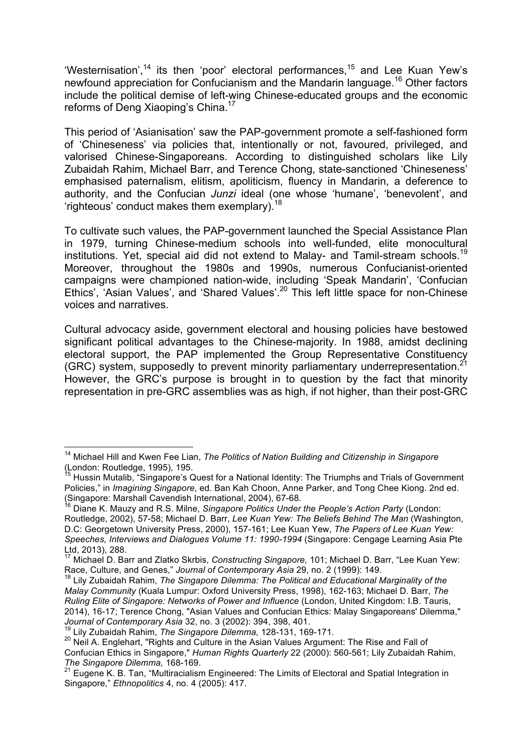'Westernisation',<sup>14</sup> its then 'poor' electoral performances,<sup>15</sup> and Lee Kuan Yew's newfound appreciation for Confucianism and the Mandarin language. <sup>16</sup> Other factors include the political demise of left-wing Chinese-educated groups and the economic reforms of Deng Xiaoping's China.<sup>17</sup>

This period of 'Asianisation' saw the PAP-government promote a self-fashioned form of 'Chineseness' via policies that, intentionally or not, favoured, privileged, and valorised Chinese-Singaporeans. According to distinguished scholars like Lily Zubaidah Rahim, Michael Barr, and Terence Chong, state-sanctioned 'Chineseness' emphasised paternalism, elitism, apoliticism, fluency in Mandarin, a deference to authority, and the Confucian *Junzi* ideal (one whose 'humane', 'benevolent', and 'righteous' conduct makes them exemplary).<sup>18</sup>

To cultivate such values, the PAP-government launched the Special Assistance Plan in 1979, turning Chinese-medium schools into well-funded, elite monocultural institutions. Yet, special aid did not extend to Malay- and Tamil-stream schools.<sup>19</sup> Moreover, throughout the 1980s and 1990s, numerous Confucianist-oriented campaigns were championed nation-wide, including 'Speak Mandarin', 'Confucian Ethics', 'Asian Values', and 'Shared Values'.<sup>20</sup> This left little space for non-Chinese voices and narratives.

Cultural advocacy aside, government electoral and housing policies have bestowed significant political advantages to the Chinese-majority. In 1988, amidst declining electoral support, the PAP implemented the Group Representative Constituency (GRC) system, supposedly to prevent minority parliamentary underrepresentation.<sup>21</sup> However, the GRC's purpose is brought in to question by the fact that minority representation in pre-GRC assemblies was as high, if not higher, than their post-GRC

 <sup>14</sup> Michael Hill and Kwen Fee Lian, *The Politics of Nation Building and Citizenship in Singapore*  (London: Routledge, 1995), 195.

Hussin Mutalib, "Singapore's Quest for a National Identity: The Triumphs and Trials of Government Policies," in *Imagining Singapore*, ed. Ban Kah Choon, Anne Parker, and Tong Chee Kiong. 2nd ed. (Singapore: Marshall Cavendish International, 2004), 67-68.

<sup>16</sup> Diane K. Mauzy and R.S. Milne, *Singapore Politics Under the People's Action Party* (London: Routledge, 2002), 57-58; Michael D. Barr, *Lee Kuan Yew: The Beliefs Behind The Man* (Washington, D.C: Georgetown University Press, 2000), 157-161; Lee Kuan Yew, *The Papers of Lee Kuan Yew: Speeches, Interviews and Dialogues Volume 11: 1990-1994* (Singapore: Cengage Learning Asia Pte Ltd, 2013), 288.

<sup>17</sup> Michael D. Barr and Zlatko Skrbis, *Constructing Singapore,* 101; Michael D. Barr, "Lee Kuan Yew: Race, Culture, and Genes," *Journal of Contemporary Asia 29*, no. 2 (1999): 149.<br><sup>18</sup> Lily Zubaidah Rahim, *The Singapore Dilemma: The Political and Educational Marginality of the* 

*Malay Community* (Kuala Lumpur: Oxford University Press, 1998), 162-163; Michael D. Barr, *The Ruling Elite of Singapore: Networks of Power and Influence* (London, United Kingdom: I.B. Tauris, 2014), 16-17; Terence Chong, "Asian Values and Confucian Ethics: Malay Singaporeans' Dilemma," *Journal of Contemporary Asia* 32, no. 3 (2002): 394, 398, 401.

<sup>19</sup> Lily Zubaidah Rahim, *The Singapore Dilemma,* 128-131, 169-171.

<sup>&</sup>lt;sup>20</sup> Neil A. Englehart, "Rights and Culture in the Asian Values Argument: The Rise and Fall of Confucian Ethics in Singapore," *Human Rights Quarterly* 22 (2000): 560-561; Lily Zubaidah Rahim, *The Singapore Dilemma,* 168-169.

<sup>21</sup> Eugene K. B. Tan, "Multiracialism Engineered: The Limits of Electoral and Spatial Integration in Singapore," *Ethnopolitics* 4, no. 4 (2005): 417.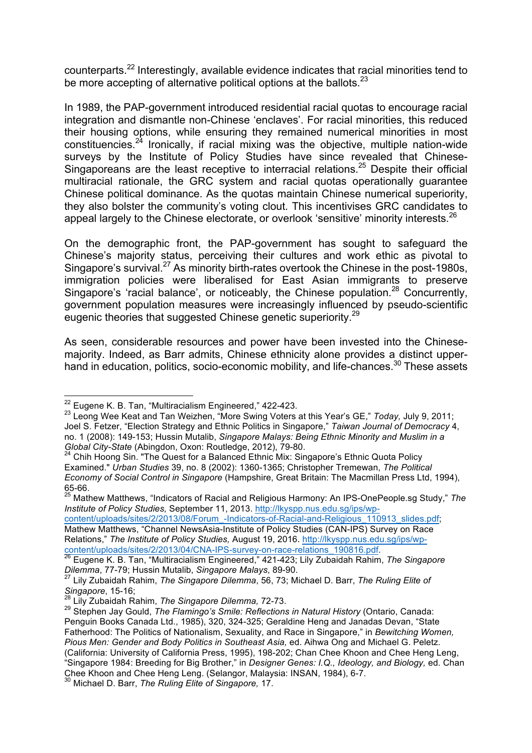counterparts.<sup>22</sup> Interestingly, available evidence indicates that racial minorities tend to be more accepting of alternative political options at the ballots.<sup>23</sup>

In 1989, the PAP-government introduced residential racial quotas to encourage racial integration and dismantle non-Chinese 'enclaves'. For racial minorities, this reduced their housing options, while ensuring they remained numerical minorities in most constituencies.<sup>24</sup> Ironically, if racial mixing was the objective, multiple nation-wide surveys by the Institute of Policy Studies have since revealed that Chinese-Singaporeans are the least receptive to interracial relations.<sup>25</sup> Despite their official multiracial rationale, the GRC system and racial quotas operationally guarantee Chinese political dominance. As the quotas maintain Chinese numerical superiority, they also bolster the community's voting clout. This incentivises GRC candidates to appeal largely to the Chinese electorate, or overlook 'sensitive' minority interests.<sup>26</sup>

On the demographic front, the PAP-government has sought to safeguard the Chinese's majority status, perceiving their cultures and work ethic as pivotal to Singapore's survival.<sup>27</sup> As minority birth-rates overtook the Chinese in the post-1980s, immigration policies were liberalised for East Asian immigrants to preserve Singapore's 'racial balance', or noticeably, the Chinese population.<sup>28</sup> Concurrently, government population measures were increasingly influenced by pseudo-scientific eugenic theories that suggested Chinese genetic superiority.<sup>29</sup>

As seen, considerable resources and power have been invested into the Chinesemajority. Indeed, as Barr admits, Chinese ethnicity alone provides a distinct upperhand in education, politics, socio-economic mobility, and life-chances.<sup>30</sup> These assets

<sup>25</sup> Mathew Matthews, "Indicators of Racial and Religious Harmony: An IPS-OnePeople.sg Study," *The Institute of Policy Studies,* September 11, 2013. http://lkyspp.nus.edu.sg/ips/wp-

content/uploads/sites/2/2013/08/Forum\_-Indicators-of-Racial-and-Religious\_110913\_slides.pdf; Mathew Matthews, "Channel NewsAsia-Institute of Policy Studies (CAN-IPS) Survey on Race Relations," *The Institute of Policy Studies,* August 19, 2016. http://lkyspp.nus.edu.sg/ips/wpcontent/uploads/sites/2/2013/04/CNA-IPS-survey-on-race-relations\_190816.pdf. <sup>26</sup> Eugene K. B. Tan, "Multiracialism Engineered," 421-423; Lily Zubaidah Rahim, *The Singapore* 

*Dilemma*, 77-79; Hussin Mutalib, *Singapore Malays*, 89-90.

<sup>&</sup>lt;sup>22</sup> Eugene K. B. Tan, "Multiracialism Engineered," 422-423.

<sup>23</sup> Leong Wee Keat and Tan Weizhen, "More Swing Voters at this Year's GE," *Today,* July 9, 2011; Joel S. Fetzer, "Election Strategy and Ethnic Politics in Singapore," *Taiwan Journal of Democracy* 4, no. 1 (2008): 149-153; Hussin Mutalib, *Singapore Malays: Being Ethnic Minority and Muslim in a Global City-State* (Abingdon, Oxon: Routledge, 2012), 79-80.

<sup>24</sup> Chih Hoong Sin. "The Quest for a Balanced Ethnic Mix: Singapore's Ethnic Quota Policy Examined." *Urban Studies* 39, no. 8 (2002): 1360-1365; Christopher Tremewan, *The Political Economy of Social Control in Singapore* (Hampshire, Great Britain: The Macmillan Press Ltd, 1994), 65-66.

<sup>27</sup> Lily Zubaidah Rahim, *The Singapore Dilemma*, 56, 73; Michael D. Barr, *The Ruling Elite of Singapore*, 15-16;

<sup>28</sup> Lily Zubaidah Rahim, *The Singapore Dilemma,* 72-73.

<sup>&</sup>lt;sup>29</sup> Stephen Jay Gould, *The Flamingo's Smile: Reflections in Natural History* (Ontario, Canada: Penguin Books Canada Ltd., 1985), 320, 324-325; Geraldine Heng and Janadas Devan, "State Fatherhood: The Politics of Nationalism, Sexuality, and Race in Singapore," in *Bewitching Women, Pious Men: Gender and Body Politics in Southeast Asia,* ed. Aihwa Ong and Michael G. Peletz. (California: University of California Press, 1995), 198-202; Chan Chee Khoon and Chee Heng Leng, "Singapore 1984: Breeding for Big Brother," in *Designer Genes: I.Q., Ideology, and Biology,* ed. Chan Chee Khoon and Chee Heng Leng. (Selangor, Malaysia: INSAN, 1984), 6-7.

<sup>30</sup> Michael D. Barr, *The Ruling Elite of Singapore,* 17.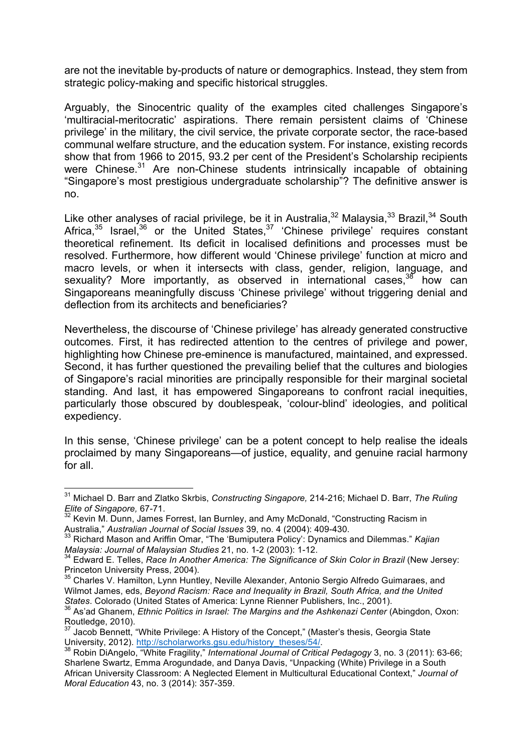are not the inevitable by-products of nature or demographics. Instead, they stem from strategic policy-making and specific historical struggles.

Arguably, the Sinocentric quality of the examples cited challenges Singapore's 'multiracial-meritocratic' aspirations. There remain persistent claims of 'Chinese privilege' in the military, the civil service, the private corporate sector, the race-based communal welfare structure, and the education system. For instance, existing records show that from 1966 to 2015, 93.2 per cent of the President's Scholarship recipients were Chinese.<sup>31</sup> Are non-Chinese students intrinsically incapable of obtaining "Singapore's most prestigious undergraduate scholarship"? The definitive answer is no.

Like other analyses of racial privilege, be it in Australia, $32$  Malaysia, $33$  Brazil, $34$  South Africa, $35$  Israel,  $36$  or the United States,  $37$  'Chinese privilege' requires constant theoretical refinement. Its deficit in localised definitions and processes must be resolved. Furthermore, how different would 'Chinese privilege' function at micro and macro levels, or when it intersects with class, gender, religion, language, and sexuality? More importantly, as observed in international cases,<sup>38</sup> how can Singaporeans meaningfully discuss 'Chinese privilege' without triggering denial and deflection from its architects and beneficiaries?

Nevertheless, the discourse of 'Chinese privilege' has already generated constructive outcomes. First, it has redirected attention to the centres of privilege and power, highlighting how Chinese pre-eminence is manufactured, maintained, and expressed. Second, it has further questioned the prevailing belief that the cultures and biologies of Singapore's racial minorities are principally responsible for their marginal societal standing. And last, it has empowered Singaporeans to confront racial inequities, particularly those obscured by doublespeak, 'colour-blind' ideologies, and political expediency.

In this sense, 'Chinese privilege' can be a potent concept to help realise the ideals proclaimed by many Singaporeans—of justice, equality, and genuine racial harmony for all.

 <sup>31</sup> Michael D. Barr and Zlatko Skrbis, *Constructing Singapore,* 214-216; Michael D. Barr, *The Ruling Elite of Singapore,* 67-71.

 $32$  Kevin M. Dunn, James Forrest, Ian Burnley, and Amy McDonald, "Constructing Racism in Australia," *Australian Journal of Social Issues* 39, no. 4 (2004): 409-430.

<sup>33</sup> Richard Mason and Ariffin Omar, "The 'Bumiputera Policy': Dynamics and Dilemmas." *Kajian Malaysia: Journal of Malaysian Studies* 21, no. 1-2 (2003): 1-12.<br><sup>34</sup> Edward E. Tolles, *Dess. L. A. (ii*)

<sup>34</sup> Edward E. Telles, *Race In Another America: The Significance of Skin Color in Brazil* (New Jersey: Princeton University Press, 2004).

<sup>&</sup>lt;sup>35</sup> Charles V. Hamilton, Lynn Huntley, Neville Alexander, Antonio Sergio Alfredo Guimaraes, and Wilmot James, eds, *Beyond Racism: Race and Inequality in Brazil, South Africa, and the United States. Colorado (United States of America: Lynne Rienner Publishers, Inc., 2001).*<br><sup>36</sup> As'ad Ghanem, *Ethnic Politics in Israel: The Margins and the Ashkenazi Center (Abingdon, Oxon:* 

Routledge, 2010).

<sup>&</sup>lt;sup>37</sup> Jacob Bennett, "White Privilege: A History of the Concept," (Master's thesis, Georgia State<br>University, 2012). http://scholarworks.gsu.edu/history\_theses/54/.<br><sup>38</sup> Pebis DiArastia #141 in Furnity in Turn in the summer

Robin DiAngelo, "White Fragility," *International Journal of Critical Pedagogy* 3, no. 3 (2011): 63-66; Sharlene Swartz, Emma Arogundade, and Danya Davis, "Unpacking (White) Privilege in a South African University Classroom: A Neglected Element in Multicultural Educational Context," *Journal of Moral Education* 43, no. 3 (2014): 357-359.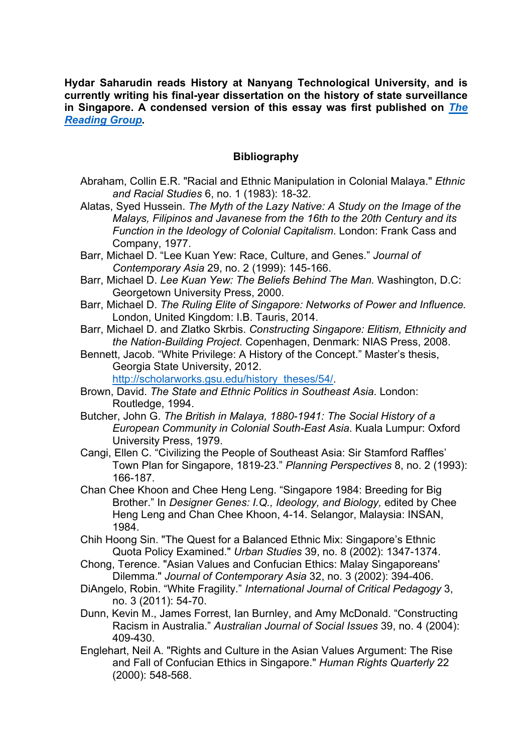**Hydar Saharudin reads History at Nanyang Technological University, and is currently writing his final-year dissertation on the history of state surveillance in Singapore. A condensed version of this essay was first published on** *The Reading Group.*

## **Bibliography**

- Abraham, Collin E.R. "Racial and Ethnic Manipulation in Colonial Malaya." *Ethnic and Racial Studies* 6, no. 1 (1983): 18-32.
- Alatas, Syed Hussein. *The Myth of the Lazy Native: A Study on the Image of the Malays, Filipinos and Javanese from the 16th to the 20th Century and its Function in the Ideology of Colonial Capitalism*. London: Frank Cass and Company, 1977.
- Barr, Michael D. "Lee Kuan Yew: Race, Culture, and Genes." *Journal of Contemporary Asia* 29, no. 2 (1999): 145-166.
- Barr, Michael D. *Lee Kuan Yew: The Beliefs Behind The Man.* Washington, D.C: Georgetown University Press, 2000.
- Barr, Michael D. *The Ruling Elite of Singapore: Networks of Power and Influence.*  London, United Kingdom: I.B. Tauris, 2014.
- Barr, Michael D. and Zlatko Skrbis. *Constructing Singapore: Elitism, Ethnicity and the Nation-Building Project.* Copenhagen, Denmark: NIAS Press, 2008.
- Bennett, Jacob. "White Privilege: A History of the Concept." Master's thesis, Georgia State University, 2012.

http://scholarworks.gsu.edu/history\_theses/54/.

- Brown, David. *The State and Ethnic Politics in Southeast Asia*. London: Routledge, 1994.
- Butcher, John G. *The British in Malaya, 1880-1941: The Social History of a European Community in Colonial South-East Asia*. Kuala Lumpur: Oxford University Press, 1979.
- Cangi, Ellen C. "Civilizing the People of Southeast Asia: Sir Stamford Raffles' Town Plan for Singapore, 1819-23." *Planning Perspectives* 8, no. 2 (1993): 166-187.
- Chan Chee Khoon and Chee Heng Leng. "Singapore 1984: Breeding for Big Brother." In *Designer Genes: I.Q., Ideology, and Biology,* edited by Chee Heng Leng and Chan Chee Khoon, 4-14. Selangor, Malaysia: INSAN, 1984.
- Chih Hoong Sin. "The Quest for a Balanced Ethnic Mix: Singapore's Ethnic Quota Policy Examined." *Urban Studies* 39, no. 8 (2002): 1347-1374.
- Chong, Terence. "Asian Values and Confucian Ethics: Malay Singaporeans' Dilemma." *Journal of Contemporary Asia* 32, no. 3 (2002): 394-406.
- DiAngelo, Robin. "White Fragility." *International Journal of Critical Pedagogy* 3, no. 3 (2011): 54-70.
- Dunn, Kevin M., James Forrest, Ian Burnley, and Amy McDonald. "Constructing Racism in Australia." *Australian Journal of Social Issues* 39, no. 4 (2004): 409-430.
- Englehart, Neil A. "Rights and Culture in the Asian Values Argument: The Rise and Fall of Confucian Ethics in Singapore." *Human Rights Quarterly* 22 (2000): 548-568.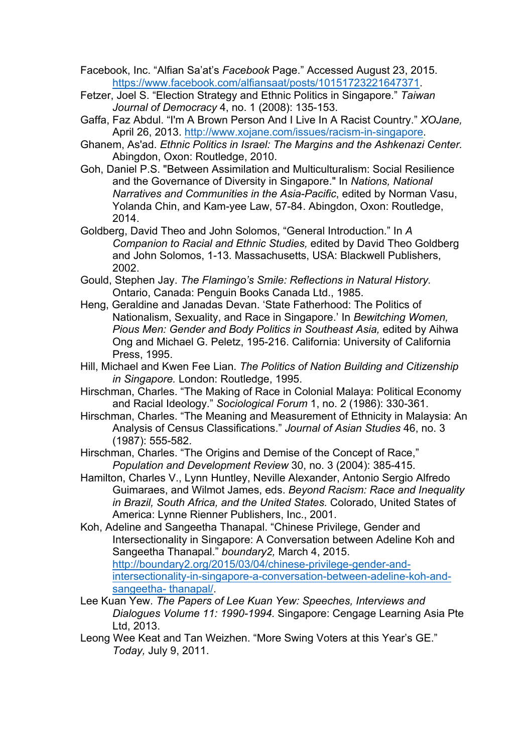- Facebook, Inc. "Alfian Sa'at's *Facebook* Page." Accessed August 23, 2015. https://www.facebook.com/alfiansaat/posts/10151723221647371.
- Fetzer, Joel S. "Election Strategy and Ethnic Politics in Singapore." *Taiwan Journal of Democracy* 4, no. 1 (2008): 135-153.
- Gaffa, Faz Abdul. "I'm A Brown Person And I Live In A Racist Country." *XOJane,*  April 26, 2013. http://www.xojane.com/issues/racism-in-singapore.
- Ghanem, As'ad. *Ethnic Politics in Israel: The Margins and the Ashkenazi Center.*  Abingdon, Oxon: Routledge, 2010.
- Goh, Daniel P.S. "Between Assimilation and Multiculturalism: Social Resilience and the Governance of Diversity in Singapore." In *Nations, National Narratives and Communities in the Asia-Pacific*, edited by Norman Vasu, Yolanda Chin, and Kam-yee Law, 57-84. Abingdon, Oxon: Routledge, 2014.
- Goldberg, David Theo and John Solomos, "General Introduction." In *A Companion to Racial and Ethnic Studies,* edited by David Theo Goldberg and John Solomos, 1-13. Massachusetts, USA: Blackwell Publishers, 2002.
- Gould, Stephen Jay. *The Flamingo's Smile: Reflections in Natural History.*  Ontario, Canada: Penguin Books Canada Ltd., 1985.
- Heng, Geraldine and Janadas Devan. 'State Fatherhood: The Politics of Nationalism, Sexuality, and Race in Singapore.' In *Bewitching Women, Pious Men: Gender and Body Politics in Southeast Asia,* edited by Aihwa Ong and Michael G. Peletz, 195-216. California: University of California Press, 1995.
- Hill, Michael and Kwen Fee Lian. *The Politics of Nation Building and Citizenship in Singapore.* London: Routledge, 1995.
- Hirschman, Charles. "The Making of Race in Colonial Malaya: Political Economy and Racial Ideology." *Sociological Forum* 1, no. 2 (1986): 330-361.
- Hirschman, Charles. "The Meaning and Measurement of Ethnicity in Malaysia: An Analysis of Census Classifications." *Journal of Asian Studies* 46, no. 3 (1987): 555-582.
- Hirschman, Charles. "The Origins and Demise of the Concept of Race," *Population and Development Review* 30, no. 3 (2004): 385-415.
- Hamilton, Charles V., Lynn Huntley, Neville Alexander, Antonio Sergio Alfredo Guimaraes, and Wilmot James, eds. *Beyond Racism: Race and Inequality in Brazil, South Africa, and the United States.* Colorado, United States of America: Lynne Rienner Publishers, Inc., 2001.
- Koh, Adeline and Sangeetha Thanapal. "Chinese Privilege, Gender and Intersectionality in Singapore: A Conversation between Adeline Koh and Sangeetha Thanapal." *boundary2,* March 4, 2015. http://boundary2.org/2015/03/04/chinese-privilege-gender-andintersectionality-in-singapore-a-conversation-between-adeline-koh-andsangeetha- thanapal/.
- Lee Kuan Yew. *The Papers of Lee Kuan Yew: Speeches, Interviews and Dialogues Volume 11: 1990-1994.* Singapore: Cengage Learning Asia Pte Ltd, 2013.
- Leong Wee Keat and Tan Weizhen. "More Swing Voters at this Year's GE." *Today,* July 9, 2011.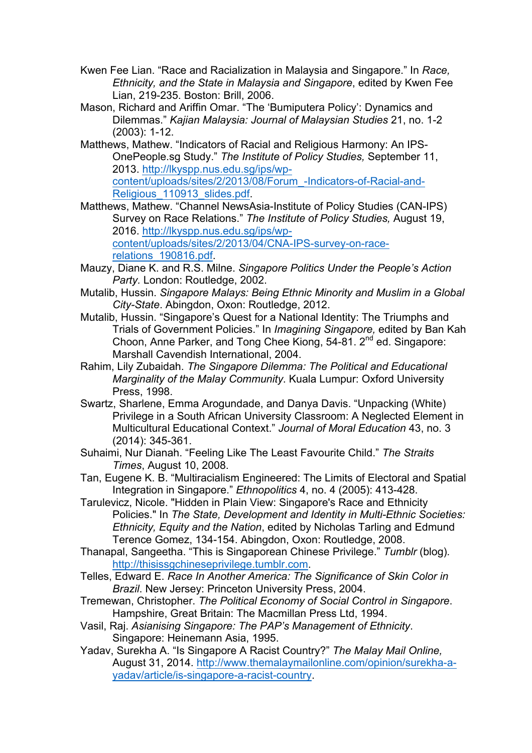- Kwen Fee Lian. "Race and Racialization in Malaysia and Singapore." In *Race, Ethnicity, and the State in Malaysia and Singapore*, edited by Kwen Fee Lian, 219-235. Boston: Brill, 2006.
- Mason, Richard and Ariffin Omar. "The 'Bumiputera Policy': Dynamics and Dilemmas." *Kajian Malaysia: Journal of Malaysian Studies* 21, no. 1-2 (2003): 1-12.
- Matthews, Mathew. "Indicators of Racial and Religious Harmony: An IPS-OnePeople.sg Study." *The Institute of Policy Studies,* September 11, 2013. http://lkyspp.nus.edu.sg/ips/wpcontent/uploads/sites/2/2013/08/Forum\_-Indicators-of-Racial-and-Religious 110913 slides.pdf.
- Matthews, Mathew. "Channel NewsAsia-Institute of Policy Studies (CAN-IPS) Survey on Race Relations." *The Institute of Policy Studies,* August 19, 2016. http://lkyspp.nus.edu.sg/ips/wpcontent/uploads/sites/2/2013/04/CNA-IPS-survey-on-racerelations\_190816.pdf.
- Mauzy, Diane K. and R.S. Milne. *Singapore Politics Under the People's Action Party.* London: Routledge, 2002.
- Mutalib, Hussin. *Singapore Malays: Being Ethnic Minority and Muslim in a Global City-State*. Abingdon, Oxon: Routledge, 2012.
- Mutalib, Hussin. "Singapore's Quest for a National Identity: The Triumphs and Trials of Government Policies." In *Imagining Singapore,* edited by Ban Kah Choon, Anne Parker, and Tong Chee Kiong, 54-81. 2<sup>nd</sup> ed. Singapore: Marshall Cavendish International, 2004.
- Rahim, Lily Zubaidah. *The Singapore Dilemma: The Political and Educational Marginality of the Malay Community*. Kuala Lumpur: Oxford University Press, 1998.
- Swartz, Sharlene, Emma Arogundade, and Danya Davis. "Unpacking (White) Privilege in a South African University Classroom: A Neglected Element in Multicultural Educational Context." *Journal of Moral Education* 43, no. 3 (2014): 345-361.
- Suhaimi, Nur Dianah. "Feeling Like The Least Favourite Child." *The Straits Times*, August 10, 2008.
- Tan, Eugene K. B. "Multiracialism Engineered: The Limits of Electoral and Spatial Integration in Singapore." *Ethnopolitics* 4, no. 4 (2005): 413-428.
- Tarulevicz, Nicole. "Hidden in Plain View: Singapore's Race and Ethnicity Policies." In *The State, Development and Identity in Multi-Ethnic Societies: Ethnicity, Equity and the Nation*, edited by Nicholas Tarling and Edmund Terence Gomez, 134-154. Abingdon, Oxon: Routledge, 2008.
- Thanapal, Sangeetha. "This is Singaporean Chinese Privilege." *Tumblr* (blog)*.*  http://thisissgchineseprivilege.tumblr.com.
- Telles, Edward E. *Race In Another America: The Significance of Skin Color in Brazil*. New Jersey: Princeton University Press, 2004.
- Tremewan, Christopher. *The Political Economy of Social Control in Singapore*. Hampshire, Great Britain: The Macmillan Press Ltd, 1994.
- Vasil, Raj. *Asianising Singapore: The PAP's Management of Ethnicity*. Singapore: Heinemann Asia, 1995.
- Yadav, Surekha A. "Is Singapore A Racist Country?" *The Malay Mail Online,*  August 31, 2014. http://www.themalaymailonline.com/opinion/surekha-ayadav/article/is-singapore-a-racist-country.